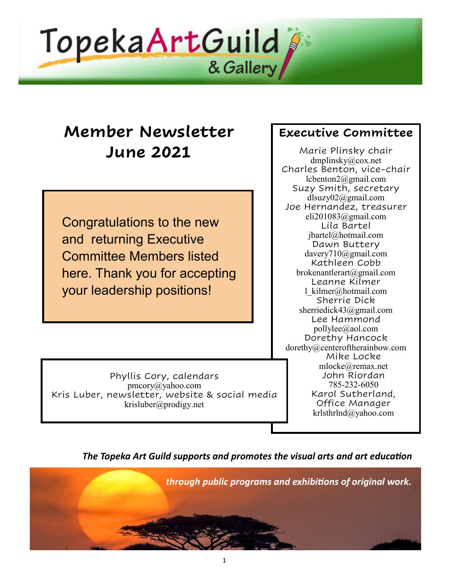

# **Member Newsletter June 2021**

Congratulations to the new and returning Executive Committee Members listed here. Thank you for accepting your leadership positions!

### **Executive Committee**

Marie Plinsky chair dmplinsky@cox.net Charles Benton, vice-chair lcbenton2@gmail.com Suzy Smith, secretary [dlsuzy02@gmail.com](mailto:dlsuzy02@gmail.com) Joe Hernandez, treasurer eli201083@gmail.com Lila Bartel [jbartel@hotmail.com](mailto:jbartel@hotmail.com) Dawn Buttery davery710@gmail.com Kathleen Cobb brokenantlerart@gmail.com Leanne Kilmer [l\\_kilmer@hotmail.com](mailto:l_kilmer@hotmail.com) Sherrie Dick sherriedick43@gmail.com Lee Hammond pollylee@aol.com Dorethy Hancock dorethy@centeroftherainbow.com Mike Locke [mlocke@remax.net](mailto:mlocke@remax.net) John Riordan 785-232-6050 Karol Sutherland, Office Manager [krlsthrlnd@yahoo.com](mailto:krlsthrlnd@yahoo.com)

Phyllis Cory, calendars pmcory@yahoo.com Kris Luber, newsletter, website & social media [krisluber@prodigy.net](mailto:krisluber@prodigy.net)

*The Topeka Art Guild supports and promotes the visual arts and art education* 

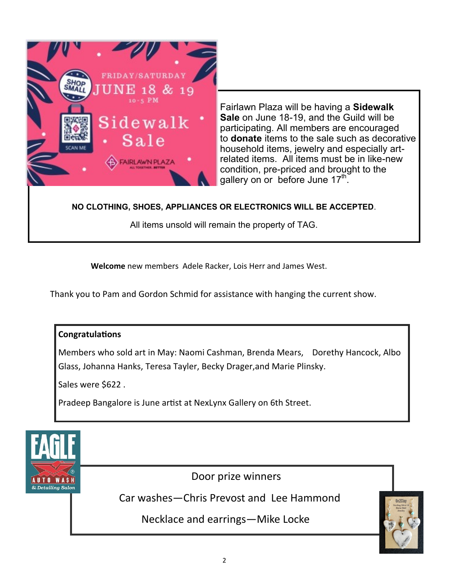

Fairlawn Plaza will be having a **Sidewalk Sale** on June 18-19, and the Guild will be participating. All members are encouraged to **donate** items to the sale such as decorative household items, jewelry and especially artrelated items. All items must be in like-new condition, pre-priced and brought to the gallery on or before June 17<sup>th</sup>.

#### **NO CLOTHING, SHOES, APPLIANCES OR ELECTRONICS WILL BE ACCEPTED**.

All items unsold will remain the property of TAG.

**Welcome** new members Adele Racker, Lois Herr and James West.

Thank you to Pam and Gordon Schmid for assistance with hanging the current show.

#### **Congratulations**

Members who sold art in May: Naomi Cashman, Brenda Mears, Dorethy Hancock, Albo Glass, Johanna Hanks, Teresa Tayler, Becky Drager,and Marie Plinsky.

Sales were \$622.

Pradeep Bangalore is June artist at NexLynx Gallery on 6th Street.



Door prize winners

Car washes—Chris Prevost and Lee Hammond

Necklace and earrings—Mike Locke

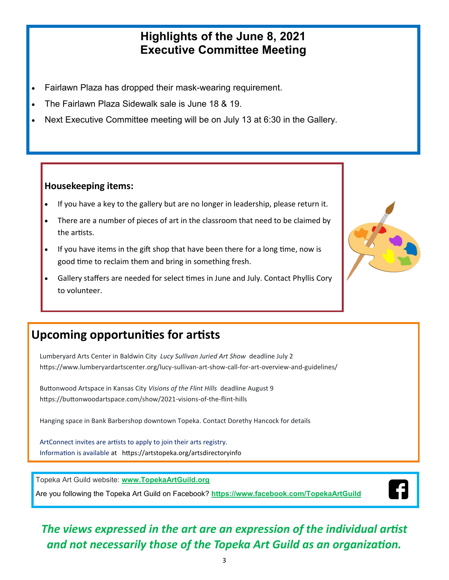### **Highlights of the June 8, 2021 Executive Committee Meeting**

- Fairlawn Plaza has dropped their mask-wearing requirement.
- The Fairlawn Plaza Sidewalk sale is June 18 & 19.
- Next Executive Committee meeting will be on July 13 at 6:30 in the Gallery.

### **Housekeeping items:**

- If you have a key to the gallery but are no longer in leadership, please return it.
- There are a number of pieces of art in the classroom that need to be claimed by the artists.
- If you have items in the gift shop that have been there for a long time, now is good time to reclaim them and bring in something fresh.
- Gallery staffers are needed for select times in June and July. Contact Phyllis Cory to volunteer.



# **Upcoming opportunities for artists**

 Lumberyard Arts Center in Baldwin City *Lucy Sullivan Juried Art Show* deadline July 2 https://www.lumberyardartscenter.org/lucy-sullivan-art-show-call-for-art-overview-and-guidelines/

 Buttonwood Artspace in Kansas City *Visions of the Flint Hills* deadline August 9 https://buttonwoodartspace.com/show/2021-visions-of-the-flint-hills

Hanging space in Bank Barbershop downtown Topeka. Contact Dorethy Hancock for details

 ArtConnect invites are artists to apply to join their arts registry. Information is available at <https://artstopeka.org/artsdirectoryinfo>

Topeka Art Guild website: **[www.TopekaArtGuild.o](topekaartguild.org)rg**

Are you following the Topeka Art Guild on Facebook? **[https://www.facebook.com/TopekaArtGuild](facebook.com/TopekaArtGuild)**



## *The views expressed in the art are an expression of the individual artist and not necessarily those of the Topeka Art Guild as an organization.*